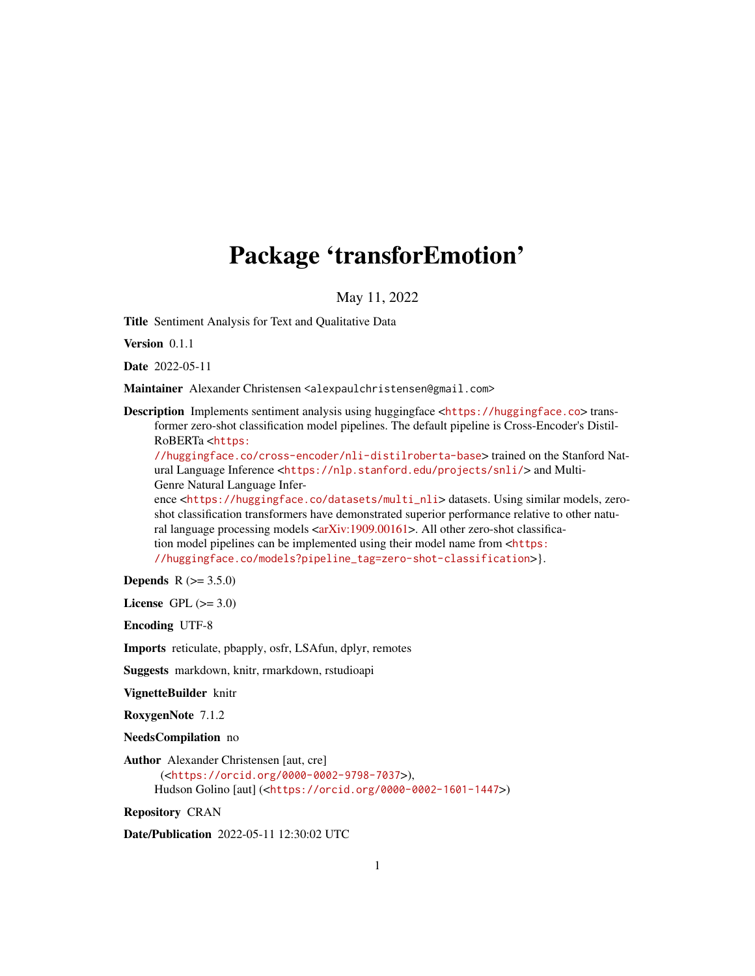# <span id="page-0-0"></span>Package 'transforEmotion'

May 11, 2022

Title Sentiment Analysis for Text and Qualitative Data

Version 0.1.1

Date 2022-05-11

Maintainer Alexander Christensen <alexpaulchristensen@gmail.com>

Description Implements sentiment analysis using huggingface <<https://huggingface.co>>transformer zero-shot classification model pipelines. The default pipeline is Cross-Encoder's Distil-RoBERTa <[https:](https://huggingface.co/cross-encoder/nli-distilroberta-base)

[//huggingface.co/cross-encoder/nli-distilroberta-base](https://huggingface.co/cross-encoder/nli-distilroberta-base)> trained on the Stanford Natural Language Inference <<https://nlp.stanford.edu/projects/snli/>> and Multi-Genre Natural Language Infer-

ence <[https://huggingface.co/datasets/multi\\_nli](https://huggingface.co/datasets/multi_nli)> datasets. Using similar models, zeroshot classification transformers have demonstrated superior performance relative to other natu-ral language processing models [<arXiv:1909.00161>](https://arxiv.org/abs/1909.00161). All other zero-shot classification model pipelines can be implemented using their model name from <[https:](https://huggingface.co/models?pipeline_tag=zero-shot-classification) [//huggingface.co/models?pipeline\\_tag=zero-shot-classification](https://huggingface.co/models?pipeline_tag=zero-shot-classification)>}.

**Depends**  $R (= 3.5.0)$ 

License GPL  $(>= 3.0)$ 

Encoding UTF-8

Imports reticulate, pbapply, osfr, LSAfun, dplyr, remotes

Suggests markdown, knitr, rmarkdown, rstudioapi

VignetteBuilder knitr

RoxygenNote 7.1.2

NeedsCompilation no

Author Alexander Christensen [aut, cre] (<<https://orcid.org/0000-0002-9798-7037>>), Hudson Golino [aut] (<<https://orcid.org/0000-0002-1601-1447>>)

Repository CRAN

Date/Publication 2022-05-11 12:30:02 UTC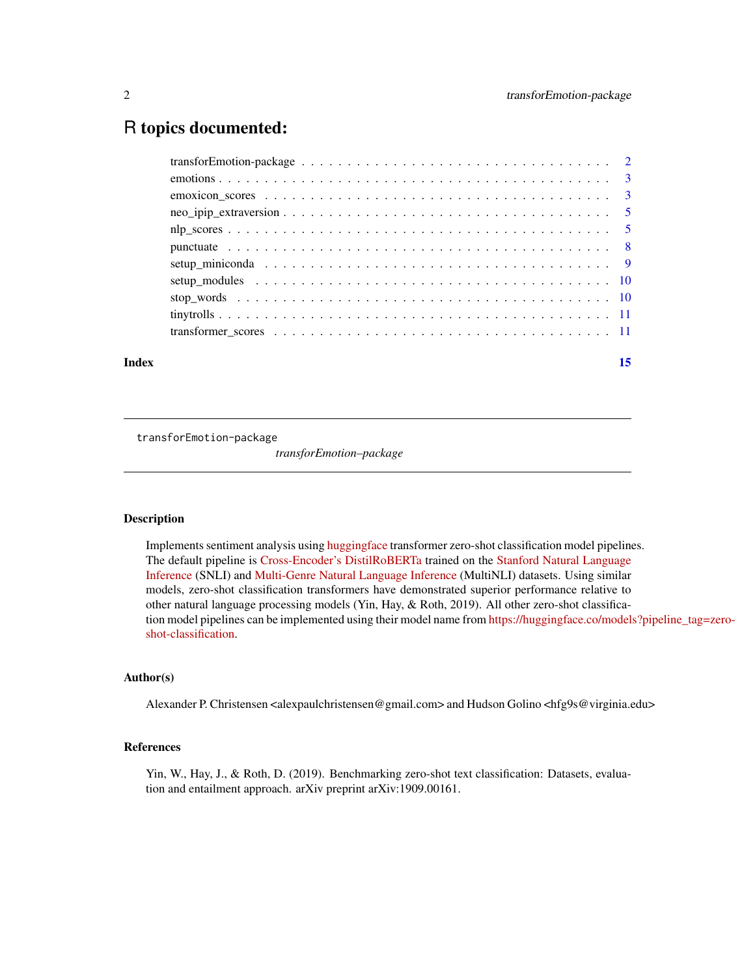# <span id="page-1-0"></span>R topics documented:

| Index | 15 |
|-------|----|
|       |    |
|       |    |
|       |    |
|       |    |
|       |    |
|       |    |
|       |    |
|       |    |
|       |    |
|       |    |
|       |    |

transforEmotion-package

*transforEmotion–package*

#### Description

Implements sentiment analysis using [huggingface](https://huggingface.co) transformer zero-shot classification model pipelines. The default pipeline is [Cross-Encoder's DistilRoBERTa](https://huggingface.co/cross-encoder/nli-distilroberta-base) trained on the [Stanford Natural Language](https://nlp.stanford.edu/projects/snli/) [Inference](https://nlp.stanford.edu/projects/snli/) (SNLI) and [Multi-Genre Natural Language Inference](https://huggingface.co/datasets/multi_nli) (MultiNLI) datasets. Using similar models, zero-shot classification transformers have demonstrated superior performance relative to other natural language processing models (Yin, Hay, & Roth, 2019). All other zero-shot classification model pipelines can be implemented using their model name from [https://huggingface.co/models](https://huggingface.co/models?pipeline_tag=zero-shot-classification)?pipeline\_tag=zero[shot-classification.](https://huggingface.co/models?pipeline_tag=zero-shot-classification)

# Author(s)

Alexander P. Christensen <alexpaulchristensen@gmail.com> and Hudson Golino <hfg9s@virginia.edu>

#### References

Yin, W., Hay, J., & Roth, D. (2019). Benchmarking zero-shot text classification: Datasets, evaluation and entailment approach. arXiv preprint arXiv:1909.00161.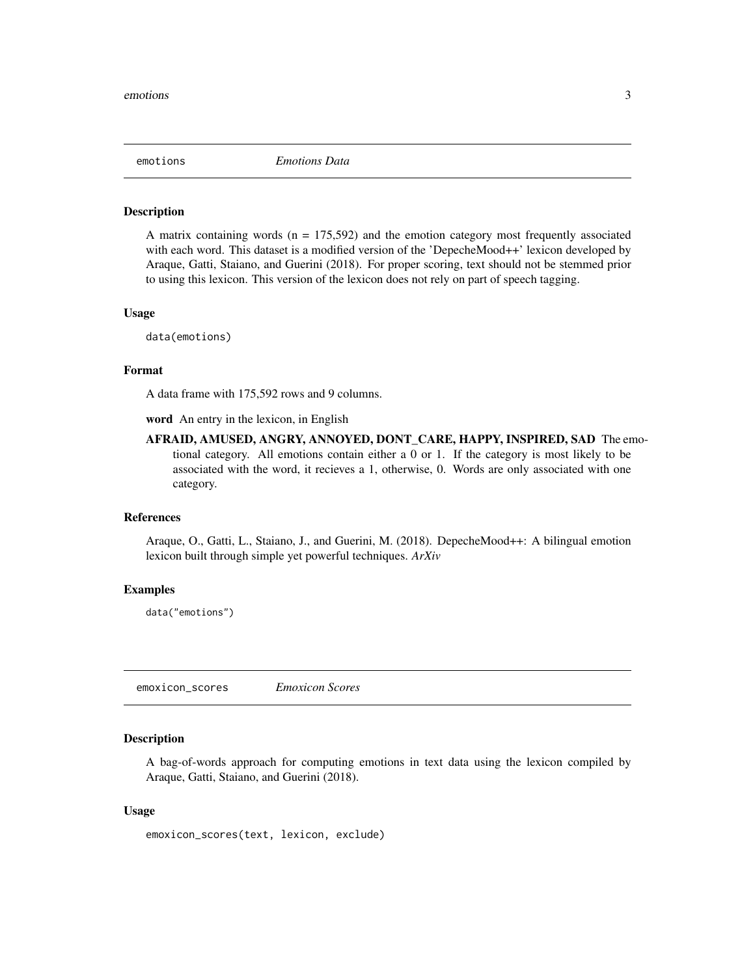<span id="page-2-1"></span><span id="page-2-0"></span>

#### Description

A matrix containing words  $(n = 175,592)$  and the emotion category most frequently associated with each word. This dataset is a modified version of the 'DepecheMood++' lexicon developed by Araque, Gatti, Staiano, and Guerini (2018). For proper scoring, text should not be stemmed prior to using this lexicon. This version of the lexicon does not rely on part of speech tagging.

#### Usage

data(emotions)

#### Format

A data frame with 175,592 rows and 9 columns.

word An entry in the lexicon, in English

AFRAID, AMUSED, ANGRY, ANNOYED, DONT\_CARE, HAPPY, INSPIRED, SAD The emotional category. All emotions contain either a 0 or 1. If the category is most likely to be associated with the word, it recieves a 1, otherwise, 0. Words are only associated with one category.

#### References

Araque, O., Gatti, L., Staiano, J., and Guerini, M. (2018). DepecheMood++: A bilingual emotion lexicon built through simple yet powerful techniques. *ArXiv*

#### Examples

data("emotions")

emoxicon\_scores *Emoxicon Scores*

#### Description

A bag-of-words approach for computing emotions in text data using the lexicon compiled by Araque, Gatti, Staiano, and Guerini (2018).

#### Usage

```
emoxicon_scores(text, lexicon, exclude)
```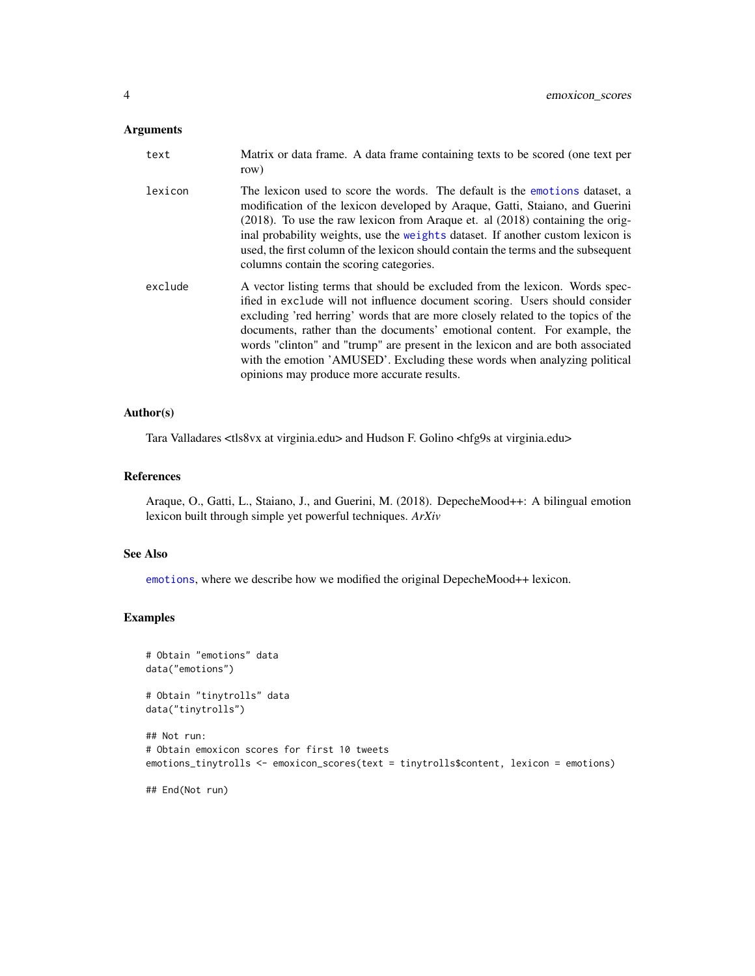#### <span id="page-3-0"></span>Arguments

| text    | Matrix or data frame. A data frame containing texts to be scored (one text per<br>row)                                                                                                                                                                                                                                                                                                                                                                                                                                                     |
|---------|--------------------------------------------------------------------------------------------------------------------------------------------------------------------------------------------------------------------------------------------------------------------------------------------------------------------------------------------------------------------------------------------------------------------------------------------------------------------------------------------------------------------------------------------|
| lexicon | The lexicon used to score the words. The default is the emotions dataset, a<br>modification of the lexicon developed by Araque, Gatti, Staiano, and Guerini<br>$(2018)$ . To use the raw lexicon from Araque et. al $(2018)$ containing the orig-<br>inal probability weights, use the weights dataset. If another custom lexicon is<br>used, the first column of the lexicon should contain the terms and the subsequent<br>columns contain the scoring categories.                                                                       |
| exclude | A vector listing terms that should be excluded from the lexicon. Words spec-<br>ified in exclude will not influence document scoring. Users should consider<br>excluding 'red herring' words that are more closely related to the topics of the<br>documents, rather than the documents' emotional content. For example, the<br>words "clinton" and "trump" are present in the lexicon and are both associated<br>with the emotion 'AMUSED'. Excluding these words when analyzing political<br>opinions may produce more accurate results. |

#### Author(s)

Tara Valladares <tls8vx at virginia.edu> and Hudson F. Golino <hfg9s at virginia.edu>

# References

Araque, O., Gatti, L., Staiano, J., and Guerini, M. (2018). DepecheMood++: A bilingual emotion lexicon built through simple yet powerful techniques. *ArXiv*

#### See Also

[emotions](#page-2-1), where we describe how we modified the original DepecheMood++ lexicon.

# Examples

```
# Obtain "emotions" data
data("emotions")
# Obtain "tinytrolls" data
data("tinytrolls")
## Not run:
# Obtain emoxicon scores for first 10 tweets
emotions_tinytrolls <- emoxicon_scores(text = tinytrolls$content, lexicon = emotions)
## End(Not run)
```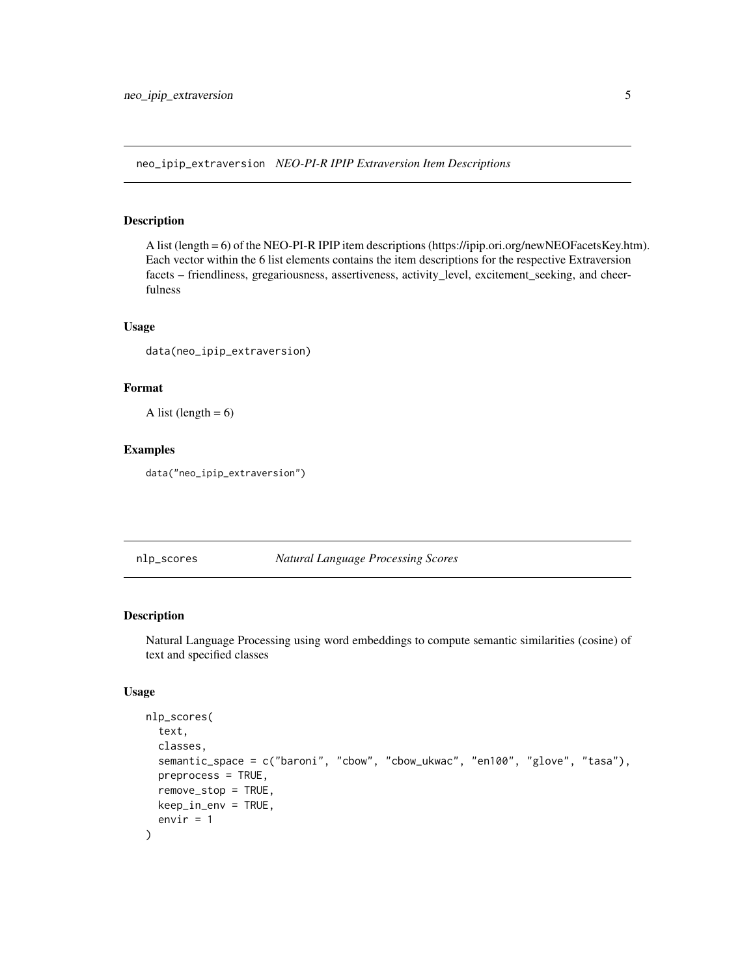<span id="page-4-0"></span>neo\_ipip\_extraversion *NEO-PI-R IPIP Extraversion Item Descriptions*

#### Description

A list (length = 6) of the NEO-PI-R IPIP item descriptions (https://ipip.ori.org/newNEOFacetsKey.htm). Each vector within the 6 list elements contains the item descriptions for the respective Extraversion facets – friendliness, gregariousness, assertiveness, activity\_level, excitement\_seeking, and cheerfulness

# Usage

data(neo\_ipip\_extraversion)

#### Format

A list (length  $= 6$ )

### Examples

data("neo\_ipip\_extraversion")

nlp\_scores *Natural Language Processing Scores*

#### Description

Natural Language Processing using word embeddings to compute semantic similarities (cosine) of text and specified classes

#### Usage

```
nlp_scores(
  text,
  classes,
  semantic_space = c("baroni", "cbow", "cbow_ukwac", "en100", "glove", "tasa"),
  preprocess = TRUE,
  remove_stop = TRUE,
  keep_in_env = TRUE,
  envir = 1
)
```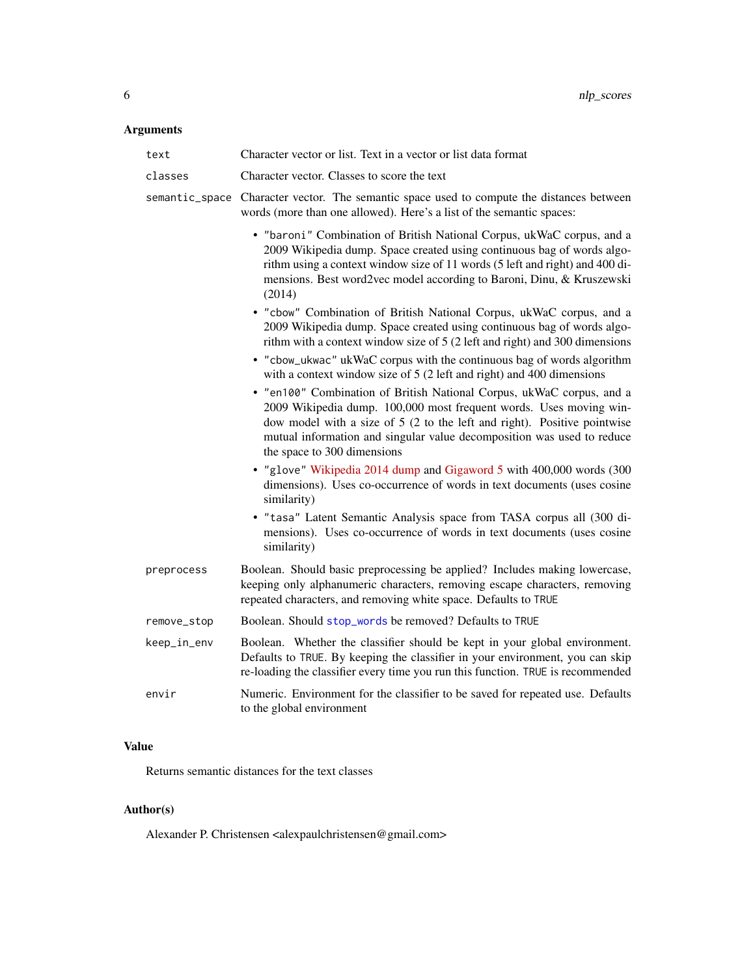# <span id="page-5-0"></span>Arguments

| text           | Character vector or list. Text in a vector or list data format                                                                                                                                                                                                                                                                   |
|----------------|----------------------------------------------------------------------------------------------------------------------------------------------------------------------------------------------------------------------------------------------------------------------------------------------------------------------------------|
| classes        | Character vector. Classes to score the text                                                                                                                                                                                                                                                                                      |
| semantic_space | Character vector. The semantic space used to compute the distances between<br>words (more than one allowed). Here's a list of the semantic spaces:                                                                                                                                                                               |
|                | • "baroni" Combination of British National Corpus, ukWaC corpus, and a<br>2009 Wikipedia dump. Space created using continuous bag of words algo-<br>rithm using a context window size of 11 words (5 left and right) and 400 di-<br>mensions. Best word2vec model according to Baroni, Dinu, & Kruszewski<br>(2014)              |
|                | . "cbow" Combination of British National Corpus, ukWaC corpus, and a<br>2009 Wikipedia dump. Space created using continuous bag of words algo-<br>rithm with a context window size of 5 (2 left and right) and 300 dimensions                                                                                                    |
|                | • "cbow_ukwac" ukWaC corpus with the continuous bag of words algorithm<br>with a context window size of 5 (2 left and right) and 400 dimensions                                                                                                                                                                                  |
|                | . "en100" Combination of British National Corpus, ukWaC corpus, and a<br>2009 Wikipedia dump. 100,000 most frequent words. Uses moving win-<br>dow model with a size of 5 (2 to the left and right). Positive pointwise<br>mutual information and singular value decomposition was used to reduce<br>the space to 300 dimensions |
|                | . "glove" Wikipedia 2014 dump and Gigaword 5 with 400,000 words (300<br>dimensions). Uses co-occurrence of words in text documents (uses cosine<br>similarity)                                                                                                                                                                   |
|                | • "tasa" Latent Semantic Analysis space from TASA corpus all (300 di-<br>mensions). Uses co-occurrence of words in text documents (uses cosine<br>similarity)                                                                                                                                                                    |
| preprocess     | Boolean. Should basic preprocessing be applied? Includes making lowercase,<br>keeping only alphanumeric characters, removing escape characters, removing<br>repeated characters, and removing white space. Defaults to TRUE                                                                                                      |
| remove_stop    | Boolean. Should stop_words be removed? Defaults to TRUE                                                                                                                                                                                                                                                                          |
| keep_in_env    | Boolean. Whether the classifier should be kept in your global environment.<br>Defaults to TRUE. By keeping the classifier in your environment, you can skip<br>re-loading the classifier every time you run this function. TRUE is recommended                                                                                   |
| envir          | Numeric. Environment for the classifier to be saved for repeated use. Defaults<br>to the global environment                                                                                                                                                                                                                      |

# Value

Returns semantic distances for the text classes

# Author(s)

Alexander P. Christensen <alexpaulchristensen@gmail.com>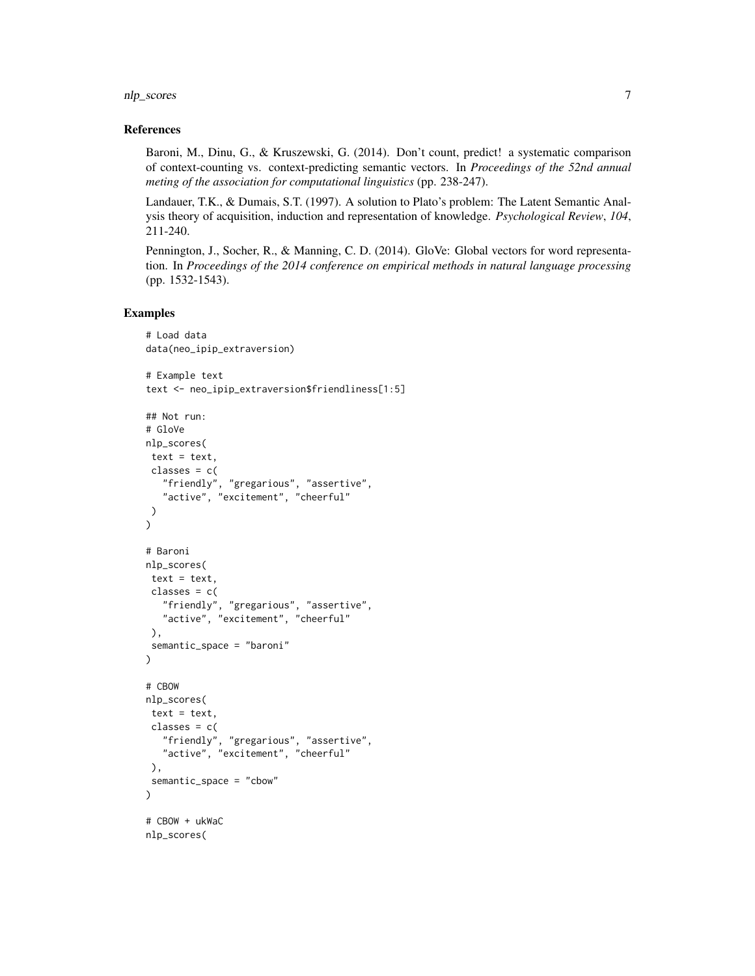nlp\_scores 7

#### References

Baroni, M., Dinu, G., & Kruszewski, G. (2014). Don't count, predict! a systematic comparison of context-counting vs. context-predicting semantic vectors. In *Proceedings of the 52nd annual meting of the association for computational linguistics* (pp. 238-247).

Landauer, T.K., & Dumais, S.T. (1997). A solution to Plato's problem: The Latent Semantic Analysis theory of acquisition, induction and representation of knowledge. *Psychological Review*, *104*, 211-240.

Pennington, J., Socher, R., & Manning, C. D. (2014). GloVe: Global vectors for word representation. In *Proceedings of the 2014 conference on empirical methods in natural language processing* (pp. 1532-1543).

# Examples

```
# Load data
data(neo_ipip_extraversion)
# Example text
text <- neo_ipip_extraversion$friendliness[1:5]
## Not run:
# GloVe
nlp_scores(
text = text,
classes = c("friendly", "gregarious", "assertive",
   "active", "excitement", "cheerful"
)
\mathcal{L}# Baroni
nlp_scores(
text = text.
 classes = c("friendly", "gregarious", "assertive",
   "active", "excitement", "cheerful"
 ),
 semantic_space = "baroni"
)
# CBOW
nlp_scores(
text = text,classes = c("friendly", "gregarious", "assertive",
   "active", "excitement", "cheerful"
 ),
 semantic_space = "cbow"
)
# CBOW + ukWaC
nlp_scores(
```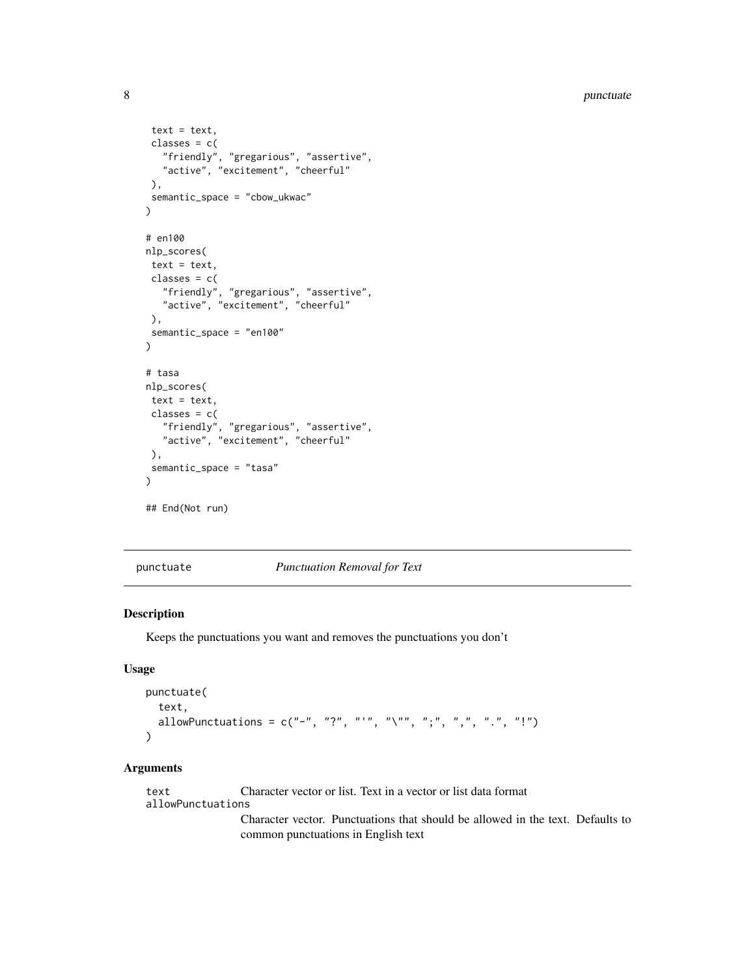```
text = text,classes = c("friendly", "gregarious", "assertive",
   "active", "excitement", "cheerful"
),
 semantic_space = "cbow_ukwac"
\mathcal{L}# en100
nlp_scores(
text = text,
 classes = c("friendly", "gregarious", "assertive",
   "active", "excitement", "cheerful"
 ),
 semantic_space = "en100"
\mathcal{L}# tasa
nlp_scores(
text = text,
 classes = c("friendly", "gregarious", "assertive",
   "active", "excitement", "cheerful"
 ),
 semantic_space = "tasa"
\mathcal{L}## End(Not run)
```
punctuate *Punctuation Removal for Text*

#### Description

Keeps the punctuations you want and removes the punctuations you don't

#### Usage

```
punctuate(
  text,
  allowPunctuations = c("-"," "?"," """", "\\ "", "";", "", " "", " " "", " "".")
```
#### Arguments

text Character vector or list. Text in a vector or list data format allowPunctuations Character vector. Punctuations that should be allowed in the text. Defaults to

common punctuations in English text

<span id="page-7-0"></span>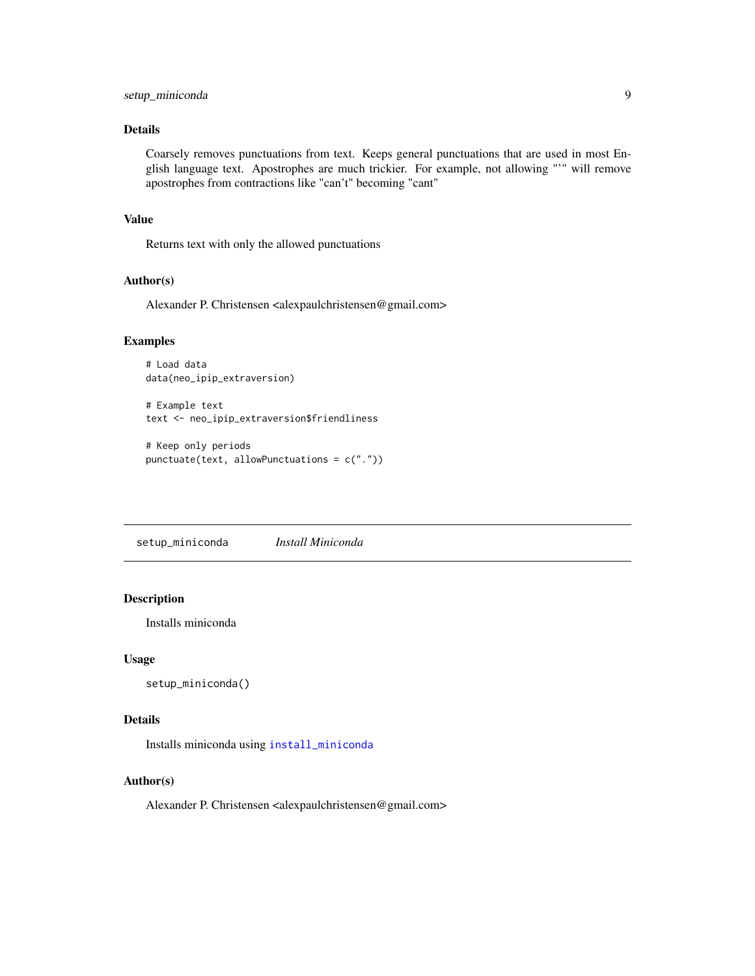# <span id="page-8-0"></span>Details

Coarsely removes punctuations from text. Keeps general punctuations that are used in most English language text. Apostrophes are much trickier. For example, not allowing "'" will remove apostrophes from contractions like "can't" becoming "cant"

#### Value

Returns text with only the allowed punctuations

# Author(s)

Alexander P. Christensen <alexpaulchristensen@gmail.com>

#### Examples

```
# Load data
data(neo_ipip_extraversion)
```
# Example text text <- neo\_ipip\_extraversion\$friendliness

# Keep only periods punctuate(text, allowPunctuations = c("."))

setup\_miniconda *Install Miniconda*

# Description

Installs miniconda

#### Usage

```
setup_miniconda()
```
#### Details

Installs miniconda using [install\\_miniconda](#page-0-0)

#### Author(s)

Alexander P. Christensen <alexpaulchristensen@gmail.com>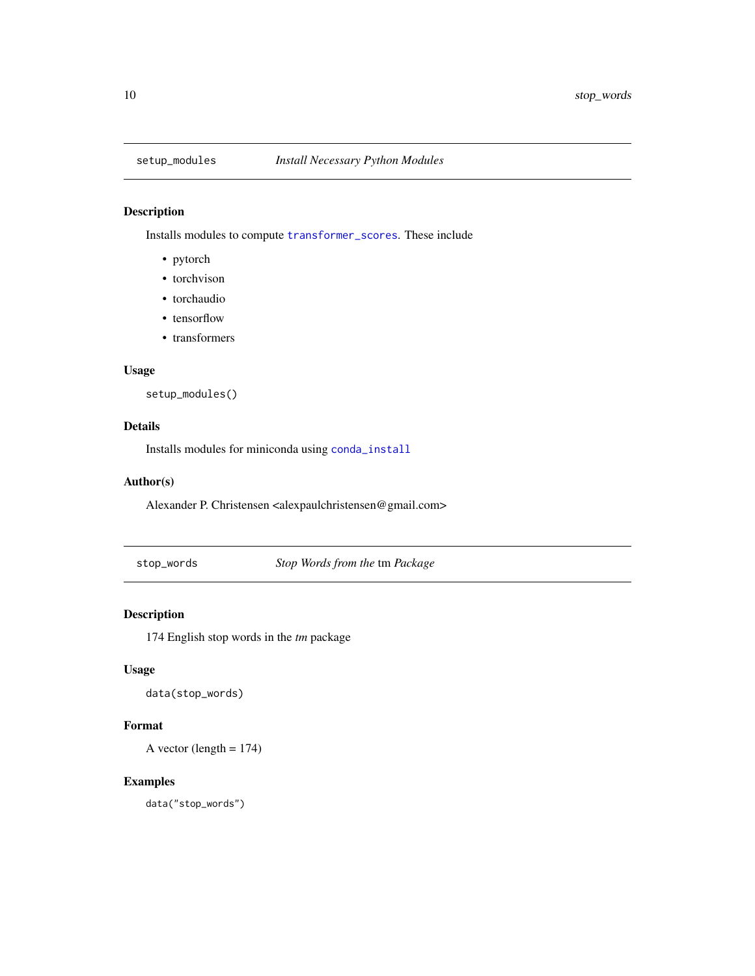<span id="page-9-0"></span>

# Description

Installs modules to compute [transformer\\_scores](#page-10-1). These include

- pytorch
- torchvison
- torchaudio
- tensorflow
- transformers

#### Usage

setup\_modules()

# Details

Installs modules for miniconda using [conda\\_install](#page-0-0)

#### Author(s)

Alexander P. Christensen <alexpaulchristensen@gmail.com>

<span id="page-9-1"></span>stop\_words *Stop Words from the* tm *Package*

# Description

174 English stop words in the *tm* package

# Usage

data(stop\_words)

# Format

A vector (length  $= 174$ )

# Examples

data("stop\_words")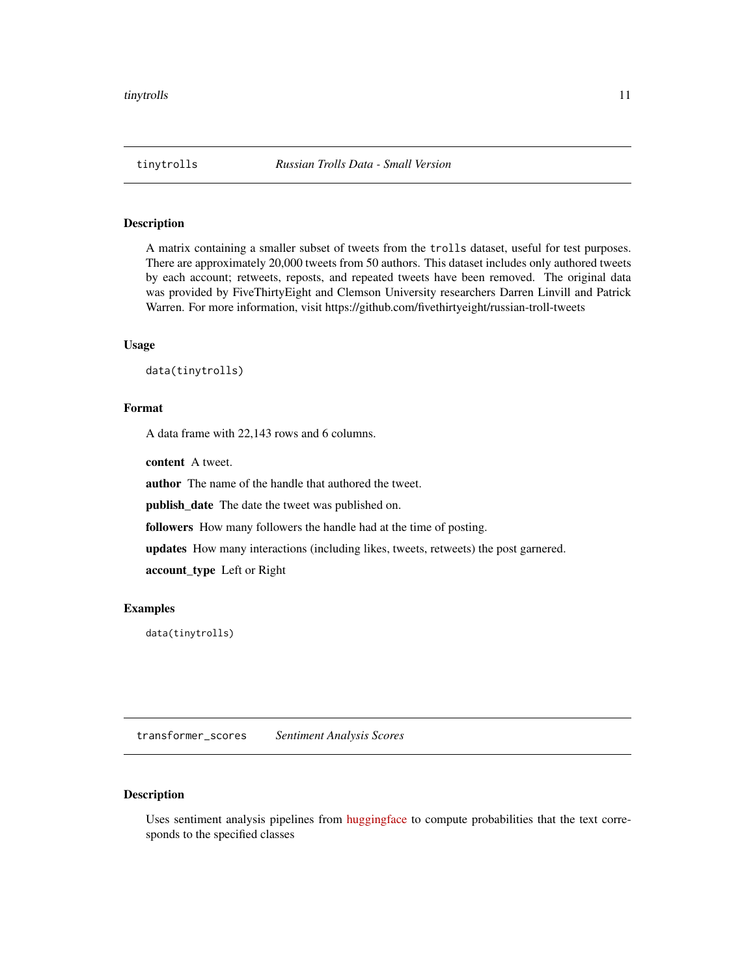<span id="page-10-0"></span>

# Description

A matrix containing a smaller subset of tweets from the trolls dataset, useful for test purposes. There are approximately 20,000 tweets from 50 authors. This dataset includes only authored tweets by each account; retweets, reposts, and repeated tweets have been removed. The original data was provided by FiveThirtyEight and Clemson University researchers Darren Linvill and Patrick Warren. For more information, visit https://github.com/fivethirtyeight/russian-troll-tweets

#### Usage

```
data(tinytrolls)
```
## Format

A data frame with 22,143 rows and 6 columns.

content A tweet.

author The name of the handle that authored the tweet.

publish\_date The date the tweet was published on.

followers How many followers the handle had at the time of posting.

updates How many interactions (including likes, tweets, retweets) the post garnered.

account\_type Left or Right

#### Examples

data(tinytrolls)

<span id="page-10-1"></span>transformer\_scores *Sentiment Analysis Scores*

# Description

Uses sentiment analysis pipelines from [huggingface](https://huggingface.co) to compute probabilities that the text corresponds to the specified classes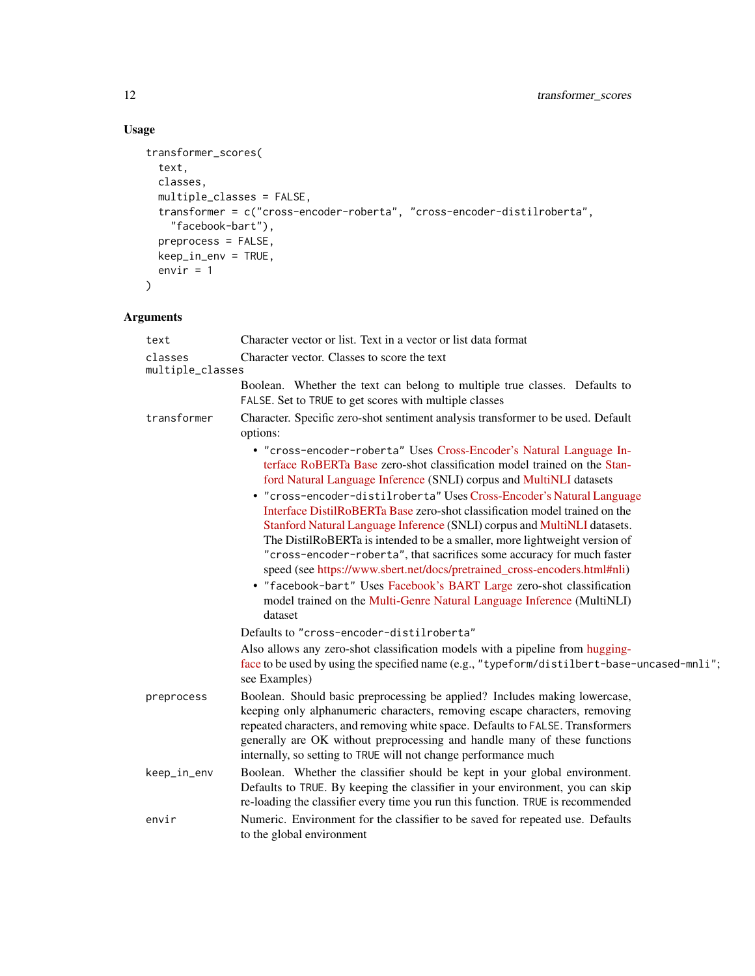# Usage

```
transformer_scores(
  text,
  classes,
  multiple_classes = FALSE,
 transformer = c("cross-encoder-roberta", "cross-encoder-distilroberta",
    "facebook-bart"),
  preprocess = FALSE,
  keep_in_env = TRUE,
  envir = 1\mathcal{L}
```
# Arguments

| text                        | Character vector or list. Text in a vector or list data format                                                                                                                                                                                                                                                                                                                                                                                                                                                                                                                                                                                                                                                                                                                                                                                               |
|-----------------------------|--------------------------------------------------------------------------------------------------------------------------------------------------------------------------------------------------------------------------------------------------------------------------------------------------------------------------------------------------------------------------------------------------------------------------------------------------------------------------------------------------------------------------------------------------------------------------------------------------------------------------------------------------------------------------------------------------------------------------------------------------------------------------------------------------------------------------------------------------------------|
| classes<br>multiple_classes | Character vector. Classes to score the text                                                                                                                                                                                                                                                                                                                                                                                                                                                                                                                                                                                                                                                                                                                                                                                                                  |
|                             | Boolean. Whether the text can belong to multiple true classes. Defaults to<br>FALSE. Set to TRUE to get scores with multiple classes                                                                                                                                                                                                                                                                                                                                                                                                                                                                                                                                                                                                                                                                                                                         |
| transformer                 | Character. Specific zero-shot sentiment analysis transformer to be used. Default<br>options:                                                                                                                                                                                                                                                                                                                                                                                                                                                                                                                                                                                                                                                                                                                                                                 |
|                             | • "cross-encoder-roberta" Uses Cross-Encoder's Natural Language In-<br>terface RoBERTa Base zero-shot classification model trained on the Stan-<br>ford Natural Language Inference (SNLI) corpus and MultiNLI datasets<br>• "cross-encoder-distilroberta" Uses Cross-Encoder's Natural Language<br>Interface DistilRoBERTa Base zero-shot classification model trained on the<br>Stanford Natural Language Inference (SNLI) corpus and MultiNLI datasets.<br>The DistilRoBERTa is intended to be a smaller, more lightweight version of<br>"cross-encoder-roberta", that sacrifices some accuracy for much faster<br>speed (see https://www.sbert.net/docs/pretrained_cross-encoders.html#nli)<br>• "facebook-bart" Uses Facebook's BART Large zero-shot classification<br>model trained on the Multi-Genre Natural Language Inference (MultiNLI)<br>dataset |
|                             | Defaults to "cross-encoder-distilroberta"                                                                                                                                                                                                                                                                                                                                                                                                                                                                                                                                                                                                                                                                                                                                                                                                                    |
|                             | Also allows any zero-shot classification models with a pipeline from hugging-<br>face to be used by using the specified name (e.g., "typeform/distilbert-base-uncased-mnli";<br>see Examples)                                                                                                                                                                                                                                                                                                                                                                                                                                                                                                                                                                                                                                                                |
| preprocess                  | Boolean. Should basic preprocessing be applied? Includes making lowercase,<br>keeping only alphanumeric characters, removing escape characters, removing<br>repeated characters, and removing white space. Defaults to FALSE. Transformers<br>generally are OK without preprocessing and handle many of these functions<br>internally, so setting to TRUE will not change performance much                                                                                                                                                                                                                                                                                                                                                                                                                                                                   |
| keep_in_env                 | Boolean. Whether the classifier should be kept in your global environment.<br>Defaults to TRUE. By keeping the classifier in your environment, you can skip<br>re-loading the classifier every time you run this function. TRUE is recommended                                                                                                                                                                                                                                                                                                                                                                                                                                                                                                                                                                                                               |
| envir                       | Numeric. Environment for the classifier to be saved for repeated use. Defaults<br>to the global environment                                                                                                                                                                                                                                                                                                                                                                                                                                                                                                                                                                                                                                                                                                                                                  |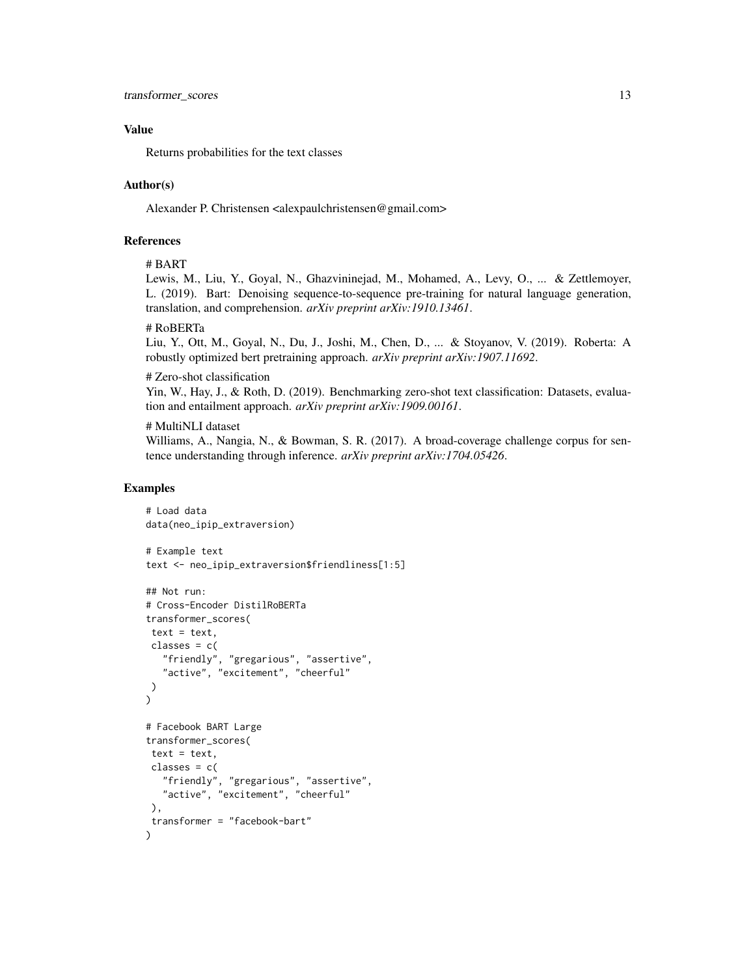#### Value

Returns probabilities for the text classes

#### Author(s)

Alexander P. Christensen <alexpaulchristensen@gmail.com>

# References

#### # BART

Lewis, M., Liu, Y., Goyal, N., Ghazvininejad, M., Mohamed, A., Levy, O., ... & Zettlemoyer, L. (2019). Bart: Denoising sequence-to-sequence pre-training for natural language generation, translation, and comprehension. *arXiv preprint arXiv:1910.13461*.

#### # RoBERTa

Liu, Y., Ott, M., Goyal, N., Du, J., Joshi, M., Chen, D., ... & Stoyanov, V. (2019). Roberta: A robustly optimized bert pretraining approach. *arXiv preprint arXiv:1907.11692*.

#### # Zero-shot classification

Yin, W., Hay, J., & Roth, D. (2019). Benchmarking zero-shot text classification: Datasets, evaluation and entailment approach. *arXiv preprint arXiv:1909.00161*.

#### # MultiNLI dataset

Williams, A., Nangia, N., & Bowman, S. R. (2017). A broad-coverage challenge corpus for sentence understanding through inference. *arXiv preprint arXiv:1704.05426*.

#### Examples

```
# Load data
data(neo_ipip_extraversion)
# Example text
text <- neo_ipip_extraversion$friendliness[1:5]
## Not run:
# Cross-Encoder DistilRoBERTa
transformer_scores(
text = text,classes = c("friendly", "gregarious", "assertive",
   "active", "excitement", "cheerful"
)
\mathcal{L}# Facebook BART Large
transformer_scores(
text = text,classes = c("friendly", "gregarious", "assertive",
   "active", "excitement", "cheerful"
),
transformer = "facebook-bart"
)
```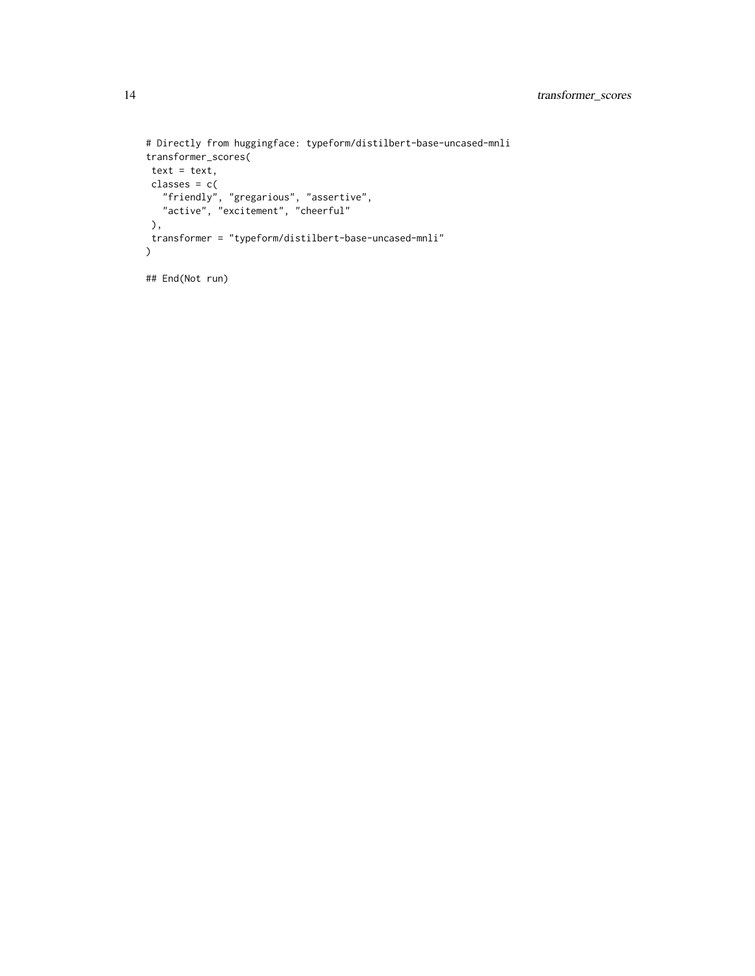```
# Directly from huggingface: typeform/distilbert-base-uncased-mnli
transformer_scores(
text = text,classes = c("friendly", "gregarious", "assertive",
  "active", "excitement", "cheerful"
),
transformer = "typeform/distilbert-base-uncased-mnli"
\mathcal{L}## End(Not run)
```